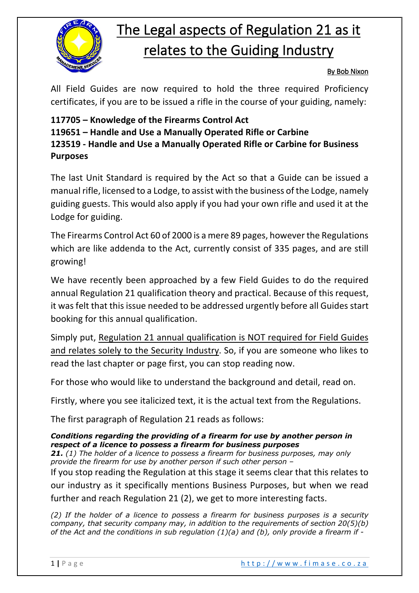

## The Legal aspects of Regulation 21 as it relates to the Guiding Industry

## By Bob Nixon

All Field Guides are now required to hold the three required Proficiency certificates, if you are to be issued a rifle in the course of your guiding, namely:

## **117705 – Knowledge of the Firearms Control Act 119651 – Handle and Use a Manually Operated Rifle or Carbine 123519 - Handle and Use a Manually Operated Rifle or Carbine for Business Purposes**

The last Unit Standard is required by the Act so that a Guide can be issued a manual rifle, licensed to a Lodge, to assist with the business of the Lodge, namely guiding guests. This would also apply if you had your own rifle and used it at the Lodge for guiding.

The Firearms Control Act 60 of 2000 is a mere 89 pages, however the Regulations which are like addenda to the Act, currently consist of 335 pages, and are still growing!

We have recently been approached by a few Field Guides to do the required annual Regulation 21 qualification theory and practical. Because of this request, it was felt that this issue needed to be addressed urgently before all Guides start booking for this annual qualification.

Simply put, Regulation 21 annual qualification is NOT required for Field Guides and relates solely to the Security Industry. So, if you are someone who likes to read the last chapter or page first, you can stop reading now.

For those who would like to understand the background and detail, read on.

Firstly, where you see italicized text, it is the actual text from the Regulations.

The first paragraph of Regulation 21 reads as follows:

## *Conditions regarding the providing of a firearm for use by another person in respect of a licence to possess a firearm for business purposes*

*21. (1) The holder of a licence to possess a firearm for business purposes, may only provide the firearm for use by another person if such other person –*

If you stop reading the Regulation at this stage it seems clear that this relates to our industry as it specifically mentions Business Purposes, but when we read further and reach Regulation 21 (2), we get to more interesting facts.

*(2) If the holder of a licence to possess a firearm for business purposes is a security company, that security company may, in addition to the requirements of section 20(5)(b) of the Act and the conditions in sub regulation (1)(a) and (b), only provide a firearm if -*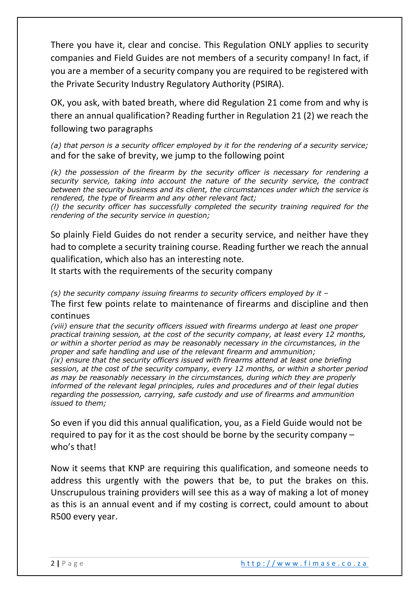There you have it, clear and concise. This Regulation ONLY applies to security companies and Field Guides are not members of a security company! In fact, if you are a member of a security company you are required to be registered with the Private Security Industry Regulatory Authority (PSIRA).

OK, you ask, with bated breath, where did Regulation 21 come from and why is there an annual qualification? Reading further in Regulation 21 (2) we reach the following two paragraphs

*(a) that person is a security officer employed by it for the rendering of a security service;* and for the sake of brevity, we jump to the following point

*(k) the possession of the firearm by the security officer is necessary for rendering a security service, taking into account the nature of the security service, the contract between the security business and its client, the circumstances under which the service is rendered, the type of firearm and any other relevant fact;* 

*(l) the security officer has successfully completed the security training required for the rendering of the security service in question;*

So plainly Field Guides do not render a security service, and neither have they had to complete a security training course. Reading further we reach the annual qualification, which also has an interesting note.

It starts with the requirements of the security company

*(s) the security company issuing firearms to security officers employed by it –*

The first few points relate to maintenance of firearms and discipline and then continues

*(viii) ensure that the security officers issued with firearms undergo at least one proper practical training session, at the cost of the security company, at least every 12 months, or within a shorter period as may be reasonably necessary in the circumstances, in the proper and safe handling and use of the relevant firearm and ammunition; (ix) ensure that the security officers issued with firearms attend at least one briefing session, at the cost of the security company, every 12 months, or within a shorter period as may be reasonably necessary in the circumstances, during which they are properly informed of the relevant legal principles, rules and procedures and of their legal duties regarding the possession, carrying, safe custody and use of firearms and ammunition issued to them;*

So even if you did this annual qualification, you, as a Field Guide would not be required to pay for it as the cost should be borne by the security company – who's that!

Now it seems that KNP are requiring this qualification, and someone needs to address this urgently with the powers that be, to put the brakes on this. Unscrupulous training providers will see this as a way of making a lot of money as this is an annual event and if my costing is correct, could amount to about R500 every year.